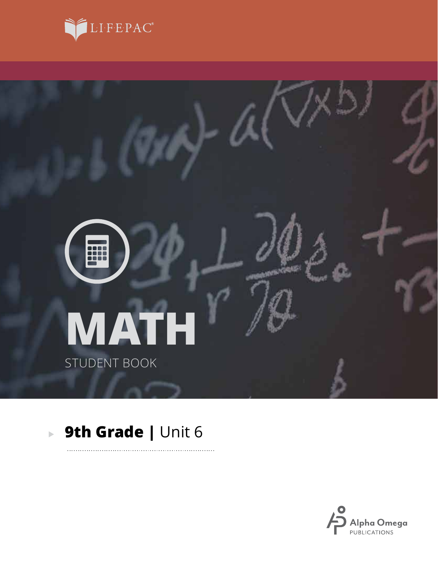



. . . . . . . . .

## **9th Grade |** Unit 6

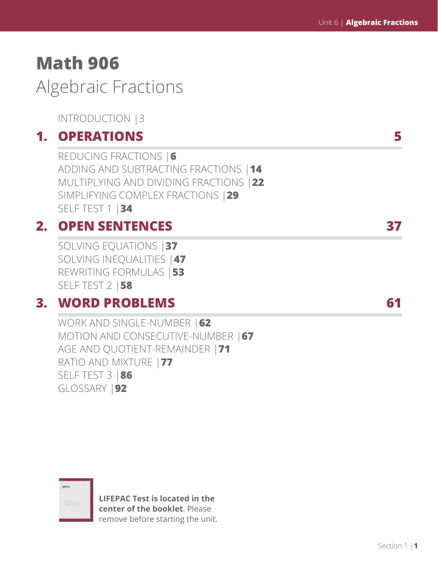# **Math 906**

Algebraic Fractions

INTRODUCTION |3

### **1. OPERATIONS 5**

REDUCING FRACTIONS |**6** ADDING AND SUBTRACTING FRACTIONS |**14** MULTIPLYING AND DIVIDING FRACTIONS |**22** SIMPLIFYING COMPLEX FRACTIONS |**29** SELF TEST 1 |**34**

## **2. OPEN SENTENCES 37**

SOLVING EQUATIONS |**37** SOLVING INEQUALITIES |**47** REWRITING FORMULAS |**53** SELF TEST 2 |**58**

### **3. WORD PROBLEMS 61**

WORK AND SINGLE-NUMBER |**62** MOTION AND CONSECUTIVE-NUMBER |**67** AGE AND QUOTIENT-REMAINDER |**71** RATIO AND MIXTURE |**77** SELF TEST 3 |**86** GLOSSARY |**92**



**LIFEPAC Test is located in the center of the booklet**. Please remove before starting the unit.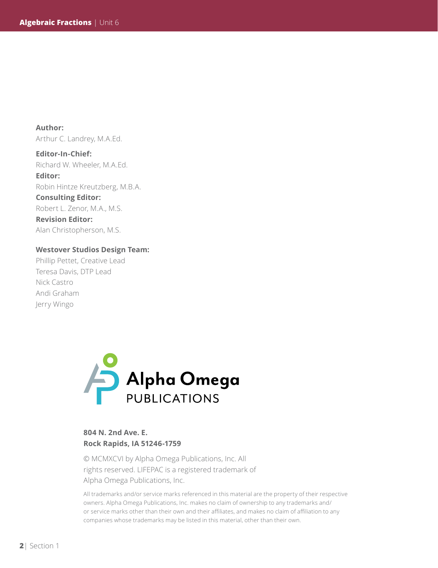**Author:**  Arthur C. Landrey, M.A.Ed.

**Editor-In-Chief:** Richard W. Wheeler, M.A.Ed. **Editor:** Robin Hintze Kreutzberg, M.B.A. **Consulting Editor:** Robert L. Zenor, M.A., M.S. **Revision Editor:** Alan Christopherson, M.S.

#### **Westover Studios Design Team:**

Phillip Pettet, Creative Lead Teresa Davis, DTP Lead Nick Castro Andi Graham Jerry Wingo



### **804 N. 2nd Ave. E. Rock Rapids, IA 51246-1759**

© MCMXCVI by Alpha Omega Publications, Inc. All rights reserved. LIFEPAC is a registered trademark of Alpha Omega Publications, Inc.

All trademarks and/or service marks referenced in this material are the property of their respective owners. Alpha Omega Publications, Inc. makes no claim of ownership to any trademarks and/ or service marks other than their own and their affiliates, and makes no claim of affiliation to any companies whose trademarks may be listed in this material, other than their own.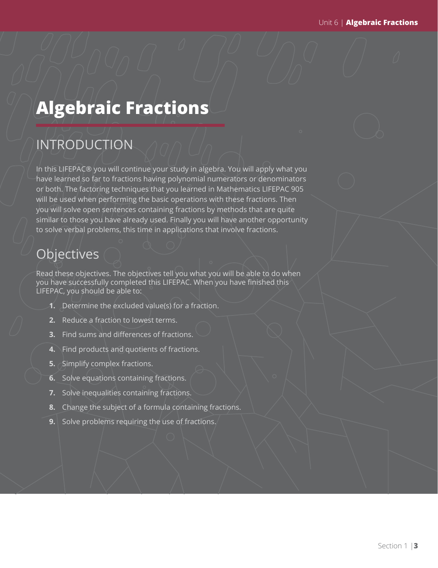# **Algebraic Fractions**

## INTRODUCTION

In this LIFEPAC® you will continue your study in algebra. You will apply what you have learned so far to fractions having polynomial numerators or denominators or both. The factoring techniques that you learned in Mathematics LIFEPAC 905 will be used when performing the basic operations with these fractions. Then you will solve open sentences containing fractions by methods that are quite similar to those you have already used. Finally you will have another opportunity to solve verbal problems, this time in applications that involve fractions.

## **Objectives**

Read these objectives. The objectives tell you what you will be able to do when you have successfully completed this LIFEPAC. When you have finished this LIFEPAC, you should be able to:

- **1.** Determine the excluded value(s) for a fraction.
- **2.** Reduce a fraction to lowest terms.
- **3.** Find sums and differences of fractions.
- **4.** Find products and quotients of fractions.
- **5.** Simplify complex fractions.
- **6.** Solve equations containing fractions.
- **7.** Solve inequalities containing fractions.
- **8.** Change the subject of a formula containing fractions.
- **9.** Solve problems requiring the use of fractions.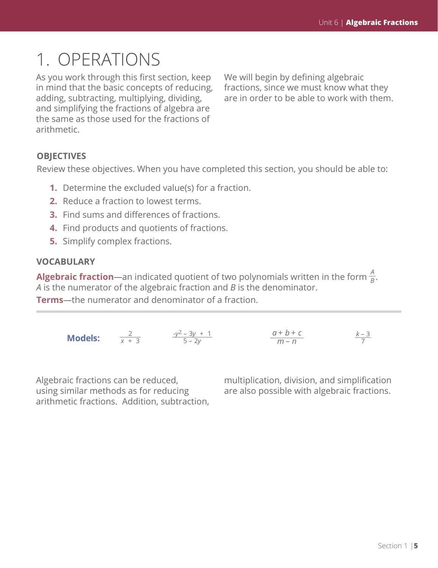# 1. OPERATIONS

As you work through this first section, keep in mind that the basic concepts of reducing, adding, subtracting, multiplying, dividing, and simplifying the fractions of algebra are the same as those used for the fractions of arithmetic.

We will begin by defining algebraic fractions, since we must know what they are in order to be able to work with them.

### **OBJECTIVES**

Review these objectives. When you have completed this section, you should be able to:

- **1.** Determine the excluded value(s) for a fraction.
- **2.** Reduce a fraction to lowest terms.
- **3.** Find sums and differences of fractions.
- **4.** Find products and quotients of fractions.
- **5.** Simplify complex fractions.

### **VOCABULARY**

**Algebraic fraction**—an indicated quotient of two polynomials written in the form  $\frac{A}{B}$ . *A* is the numerator of the algebraic fraction and *B* is the denominator.

**Terms***—*the numerator and denominator of a fraction.

|                | $-y^2 - 3y + 1$ | $a+b+c$ | $k - 3$ |
|----------------|-----------------|---------|---------|
| <b>Models:</b> | $5 - 2v$        | $m - n$ |         |

Algebraic fractions can be reduced, using similar methods as for reducing arithmetic fractions. Addition, subtraction, multiplication, division, and simplification are also possible with algebraic fractions.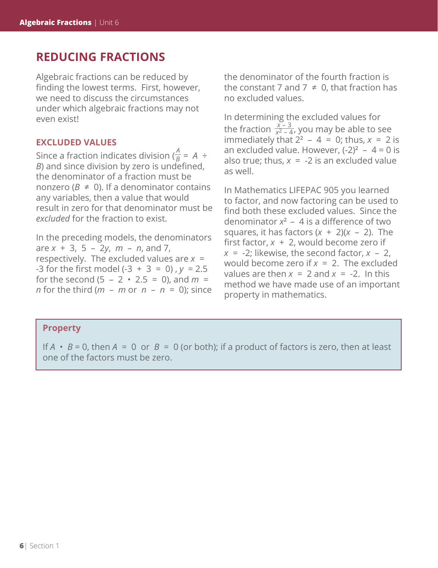### **REDUCING FRACTIONS**

Algebraic fractions can be reduced by finding the lowest terms. First, however, we need to discuss the circumstances under which algebraic fractions may not even exist!

### **EXCLUDED VALUES**

Since a fraction indicates division ( $\frac{A}{B}$  = A ÷ *B*) and since division by zero is undefined, the denominator of a fraction must be nonzero ( $B \neq 0$ ). If a denominator contains any variables, then a value that would result in zero for that denominator must be *excluded* for the fraction to exist.

In the preceding models, the denominators are *x* + 3, 5 – 2*y*, *m* – *n*, and 7, respectively. The excluded values are *x* = -3 for the first model (-3 + 3 = 0) , *y* = 2.5 for the second  $(5 - 2 \cdot 2.5 = 0)$ , and  $m =$ *n* for the third (*m* – *m* or  $n - n = 0$ ); since the denominator of the fourth fraction is the constant 7 and 7  $\neq$  0, that fraction has no excluded values.

In determining the excluded values for the fraction  $\frac{x-3}{x^2-4}$ , you may be able to see immediately that  $2^2 - 4 = 0$ ; thus,  $x = 2$  is an excluded value. However,  $(-2)^2 - 4 = 0$  is also true; thus,  $x = -2$  is an excluded value as well.

In Mathematics LIFEPAC 905 you learned to factor, and now factoring can be used to find both these excluded values. Since the denominator  $x^2 - 4$  is a difference of two squares, it has factors (*x* + 2)(*x* – 2). The first factor, *x* + 2, would become zero if  $x = -2$ ; likewise, the second factor,  $x - 2$ , would become zero if *x* = 2. The excluded values are then  $x = 2$  and  $x = -2$ . In this method we have made use of an important property in mathematics.

### **Property**

If  $A \cdot B = 0$ , then  $A = 0$  or  $B = 0$  (or both); if a product of factors is zero, then at least one of the factors must be zero.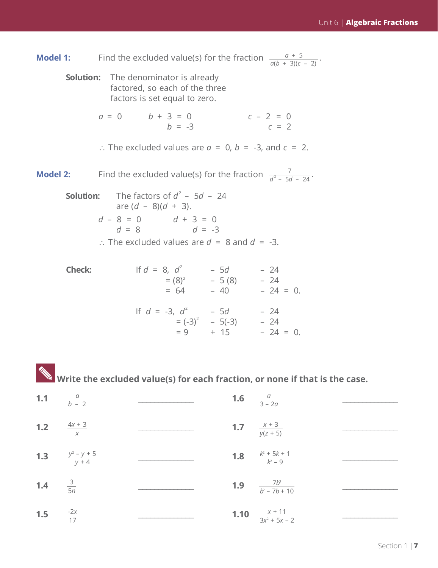|        | <b>Model 1:</b> Find the excluded value(s) for the fraction $\frac{a+5}{a(b+3)(c-2)}$ .                                                                                        |
|--------|--------------------------------------------------------------------------------------------------------------------------------------------------------------------------------|
|        | <b>Solution:</b> The denominator is already<br>factored, so each of the three<br>factors is set equal to zero.                                                                 |
|        | $a = 0$ $b + 3 = 0$<br>$c - 2 = 0$<br>$c = 2$<br>$h = -3$                                                                                                                      |
|        | :. The excluded values are $\alpha = 0$ , $b = -3$ , and $c = 2$ .                                                                                                             |
|        | <b>Model 2:</b> Find the excluded value(s) for the fraction $\frac{7}{d^2 - 5d - 24}$ .                                                                                        |
|        | <b>Solution:</b> The factors of $d^2$ – 5d – 24<br>are $(d - 8)(d + 3)$ .<br>$d - 8 = 0$<br>$d = 8$<br>$d = -3$<br>$\therefore$ The excluded values are $d = 8$ and $d = -3$ . |
| Check: | If $d = 8$ , $d^2$ $- 5d$ $- 24$<br>= (8) <sup>2</sup> $- 5 (8)$ $- 24$<br>$= 64 - 40 - 24 = 0.$                                                                               |
|        | If $d = -3$ , $d^2 - 5d - 24$<br>= $(-3)^2 - 5(-3) - 24$<br>$= 9 + 15 - 24 = 0.$                                                                                               |

 **Write the excluded value(s) for each fraction, or none if that is the case.**

| 1.1   | $\frac{a}{b-2}$             |      | <b>1.6</b> $\frac{a}{3-2a}$               |  |
|-------|-----------------------------|------|-------------------------------------------|--|
| $1.2$ | $\frac{4x + 3}{x}$          |      | <b>1.7</b> $\frac{x+3}{y(z+5)}$           |  |
| $1.3$ | $\frac{y^2 - y + 5}{y + 4}$ |      | <b>1.8</b> $\frac{k^2 + 5k + 1}{k^2 - 9}$ |  |
| $1.4$ | $rac{3}{5n}$                | 1.9  | $rac{7b^3}{b^2-7b+10}$                    |  |
| 1.5   | $\frac{-2x}{17}$            | 1.10 | $\frac{x + 11}{3x^2 + 5x - 2}$            |  |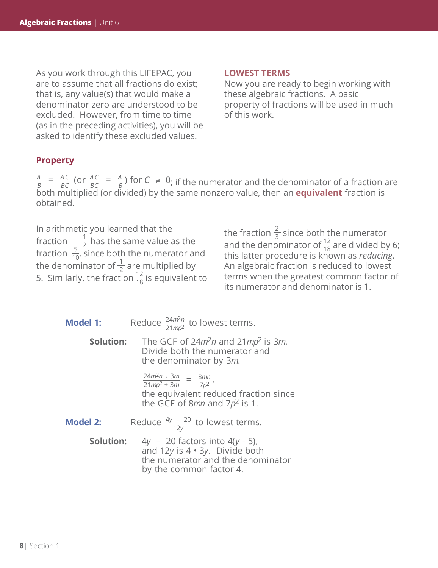As you work through this LIFEPAC, you are to assume that all fractions do exist; that is, any value(s) that would make a denominator zero are understood to be excluded. However, from time to time (as in the preceding activities), you will be asked to identify these excluded values.

#### **LOWEST TERMS**

Now you are ready to begin working with these algebraic fractions. A basic property of fractions will be used in much of this work.

### **Property**

 $=\frac{AC}{BC}$  (or  $\frac{AC}{BC} = \frac{A}{B}$ ) for  $C \neq 0$ *A C BC A C BC*  $\frac{A}{B}$  =  $\frac{AC}{BC}$  (or  $\frac{AC}{BC}$  =  $\frac{A}{B}$ ) for  $C \neq 0$ ; if the numerator and the denominator of a fraction are both multiplied (or divided) by the same nonzero value, then an **equivalent** fraction is obtained.

In arithmetic you learned that the fraction  $\frac{1}{2}$  has the same value as the fraction  $\frac{5}{10}$ , since both the numerator and the denominator of  $\frac{1}{2}$  are multiplied by 5. Similarly, the fraction  $\frac{12}{18}$  is equivalent to

the fraction  $\frac{2}{3}$  since both the numerator and the denominator of  $\frac{12}{18}$  are divided by 6; this latter procedure is known as *reducing*. An algebraic fraction is reduced to lowest terms when the greatest common factor of its numerator and denominator is 1.

| <b>Model 1:</b>  | Reduce $\frac{24m^2n}{21mn^2}$ to lowest terms.                                                                                              |
|------------------|----------------------------------------------------------------------------------------------------------------------------------------------|
| Solution:        | The GCF of $24m^2n$ and $21mp^2$ is 3m.<br>Divide both the numerator and<br>the denominator by 3m.                                           |
|                  | $\frac{24m^2n \div 3m}{21mp^2 \div 3m} = \frac{8mn}{7p^2},$<br>the equivalent reduced fraction since<br>the GCF of 8mn and $7p^2$ is 1.      |
| <b>Model 2:</b>  | Reduce $\frac{4y - 20}{12y}$ to lowest terms.                                                                                                |
| <b>Solution:</b> | $4y - 20$ factors into $4(y - 5)$ ,<br>and 12y is $4 \cdot 3y$ . Divide both<br>the numerator and the denominator<br>by the common factor 4. |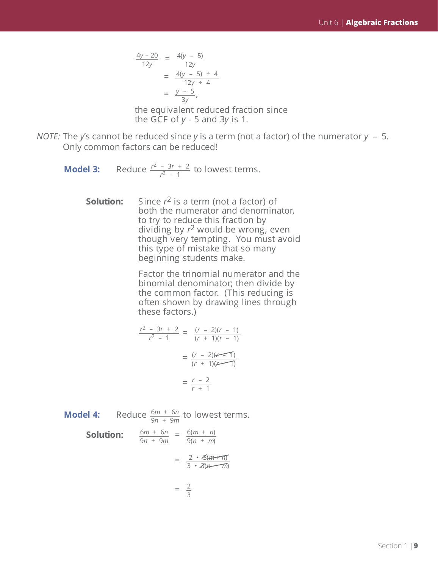$$
\frac{4y - 20}{12y} = \frac{4(y - 5)}{12y}
$$
  
= 
$$
\frac{4(y - 5) \div 4}{12y \div 4}
$$
  
= 
$$
\frac{y - 5}{3y},
$$

the equivalent reduced fraction since the GCF of  $y - 5$  and  $3y$  is 1.

- *NOTE:* The *y*'s cannot be reduced since *y* is a term (not a factor) of the numerator *y* 5. Only common factors can be reduced!
	- **Model 3:** Reduce  $\frac{r^2 3r + 2}{r^2 4}$  to lowest terms. *r*2 – 1
		- **Solution:** Since *r*2 is a term (not a factor) of both the numerator and denominator, to try to reduce this fraction by dividing by *r*2 would be wrong, even though very tempting. You must avoid this type of mistake that so many beginning students make.

Factor the trinomial numerator and the binomial denominator; then divide by the common factor. (This reducing is often shown by drawing lines through these factors.)

$$
\frac{r^2 - 3r + 2}{r^2 - 1} = \frac{(r - 2)(r - 1)}{(r + 1)(r - 1)}
$$

$$
= \frac{(r - 2)(r - 1)}{(r + 1)(r - 1)}
$$

$$
= \frac{r - 2}{r + 1}
$$

**Model 4:** Reduce  $\frac{6m + 6n}{2m + 6m}$  to lowest terms. 9*n* + 9*m*

**Solution:** 
$$
\frac{6m + 6n}{9n + 9m} = \frac{6(m + n)}{9(n + m)}
$$

$$
= \frac{2 \cdot 3(m + n)}{3 \cdot 3(m + m)}
$$

$$
= \frac{2}{3}
$$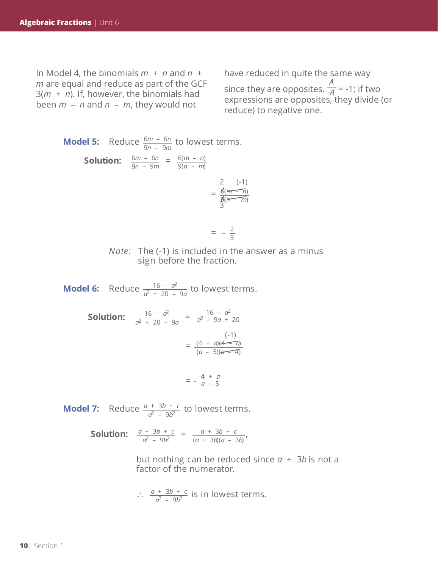In Model 4, the binomials *m* + *n* and *n* + *m* are equal and reduce as part of the GCF 3(*m* + *n*). If, however, the binomials had been *m* – *n* and *n* – *m*, they would not

have reduced in quite the same way

since they are opposites. *A*  $\overline{A}$  = -1; if two expressions are opposites, they divide (or reduce) to negative one.

**Model 5:** Reduce 
$$
\frac{6m - 6n}{9n - 9m}
$$
 to lowest terms.  
\n**Solution:**  $\frac{6m - 6n}{9n - 9m} = \frac{6(m - n)}{9(n - m)}$   
\n $= \frac{2}{\frac{6(m - n)}{3(n - m)}}$ 

$$
= -\frac{2}{3}
$$

 $\mathcal{L}$ 

*Note:* The (-1) is included in the answer as a minus sign before the fraction.

**Model 6:** Reduce  $\frac{16 - \alpha^2}{\alpha^2 + 20}$  to lowest terms. *a*2 + 20 – 9*a*

> **Solution:**  $\frac{16 - a^2}{a^2 + 20 - 9a} = \frac{16 - a^2}{a^2 - 9a + 9a}$ (-1)  $=\frac{(4 + a)(4 - a)}{(a + b)(4 - a)}$ *a*2 – 9*a* + 20  $(a - 5)(a - 4)$ 16 – *a*2 *a*2 + 20 – 9*a*

$$
= -\frac{4+a}{a-5}
$$

**Model 7:** Reduce  $\frac{a + 3b + c}{a^2}$  to lowest terms. *a*2 – 9*b*2

> **Solution:**  $\frac{a + 3b + c}{a^2 - 3b^2} = \frac{a + 3b + c}{(a + 3b)(a - 3b)}$ (*a* + 3*b*)(*a* – 3*b*) *a* + 3*b* + *c a*2 – 9*b*2

> > but nothing can be reduced since  $a + 3b$  is not a factor of the numerator.

$$
\therefore \frac{a + 3b + c}{a^2 - 9b^2}
$$
 is in lowest terms.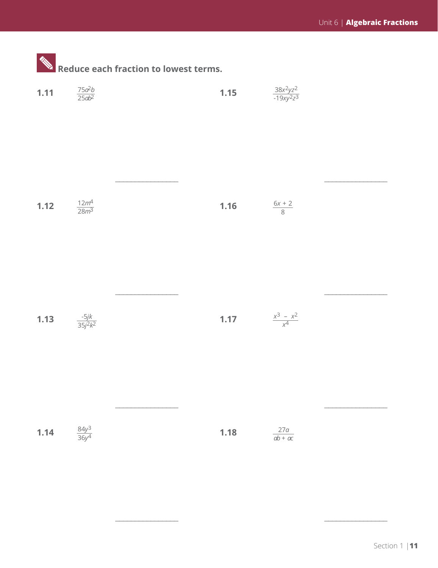|        |                         | Reduce each fraction to lowest terms. |                                     |                                |  |
|--------|-------------------------|---------------------------------------|-------------------------------------|--------------------------------|--|
| 1.11   | $\frac{75a^2b}{25ab^2}$ |                                       | $1.15$                              | $\frac{38x^2yz^2}{-19xy^2z^3}$ |  |
| 1.12   | $\frac{12m^4}{28m^3}$   |                                       | $1.16$                              | $\frac{6x+2}{8}$               |  |
| $1.13$ | $\frac{-5jk}{35j^2k^2}$ |                                       | <b>1.17</b> $\frac{x^3 - x^2}{x^4}$ |                                |  |
| 1.14   | $\frac{84y^3}{36y^4}$   |                                       | 1.18                                | $\frac{27a}{ab + ac}$          |  |

۰ **College** 

 $\overline{\phantom{a}}$  , and the contract of the contract of the contract of the contract of the contract of the contract of the contract of the contract of the contract of the contract of the contract of the contract of the contrac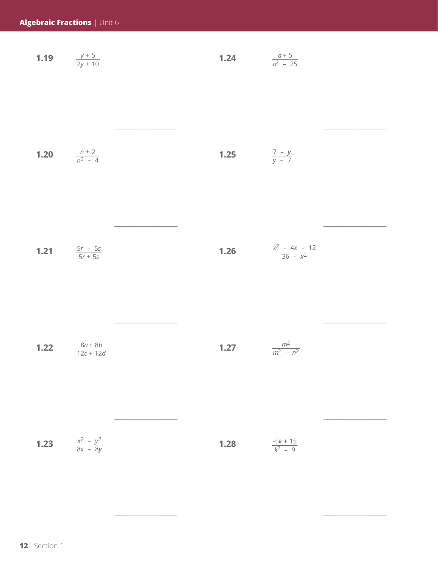| 1.19<br>$y + 5$<br>1.24<br>$2v + 10$ | $a^2 - 25$ |
|--------------------------------------|------------|
|--------------------------------------|------------|

| <b>1.20</b> $\frac{n+2}{n^2-4}$ | <b>1.25</b> $\frac{7-y}{y-7}$ |  |
|---------------------------------|-------------------------------|--|
|                                 |                               |  |

 $\overline{\phantom{a}}$  , and the contract of the contract of the contract of the contract of the contract of the contract of the contract of the contract of the contract of the contract of the contract of the contract of the contrac

 $\overline{\phantom{a}}$  , and the contract of the contract of the contract of the contract of the contract of the contract of the contract of the contract of the contract of the contract of the contract of the contract of the contrac

\_\_\_\_\_\_\_\_\_\_\_\_\_\_\_\_ \_\_\_\_\_\_\_\_\_\_\_\_\_\_\_\_

 $\overline{\phantom{a}}$  , and the contract of the contract of the contract of the contract of the contract of the contract of the contract of the contract of the contract of the contract of the contract of the contract of the contrac

| 1.21 | $\frac{5r - 5s}{2}$<br>$5r + 5s$ | 1.26 | $x^2 - 4x - 12$<br>$\frac{1}{36 - x^2}$ |
|------|----------------------------------|------|-----------------------------------------|
|------|----------------------------------|------|-----------------------------------------|

| 1.22 | $8a+8b$<br>$12c + 12d$ | 1.27 | m <sup>2</sup><br>$m^2 - n^2$ |
|------|------------------------|------|-------------------------------|
|------|------------------------|------|-------------------------------|

| 1.23 | $\frac{x^2 - y^2}{8x - 8y}$ | 1.28 | $\frac{-5k + 15}{k^2 - 9}$ |  |
|------|-----------------------------|------|----------------------------|--|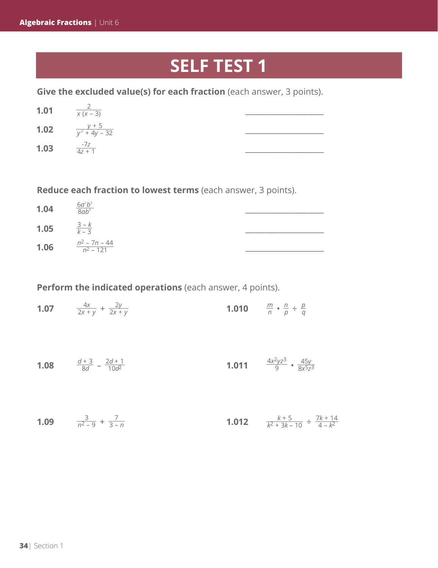## **SELF TEST 1**

**Give the excluded value(s) for each fraction** (each answer, 3 points).

| 1.01 | $x(x - 3)$              |  |
|------|-------------------------|--|
| 1.02 | $\frac{y+5}{y^2+4y-32}$ |  |
| 1.03 | $-7z$<br>$17 + 1$       |  |

**Reduce each fraction to lowest terms** (each answer, 3 points).

| 1.04 | $\frac{6a^2b^3}{8ab^4}$           |  |
|------|-----------------------------------|--|
| 1.05 | $\frac{3-k}{k-3}$                 |  |
| 1.06 | $\frac{n^2 - 7n - 44}{n^2 - 121}$ |  |

**Perform the indicated operations** (each answer, 4 points).

| 1.07 | $\frac{4x}{2x+y} + \frac{2y}{2x+y}$ | 1.010 | $\frac{m}{n} \cdot \frac{n}{p} \div \frac{p}{q}$ |  |  |
|------|-------------------------------------|-------|--------------------------------------------------|--|--|
|------|-------------------------------------|-------|--------------------------------------------------|--|--|

| $d+3$ 2d + 1<br>1.08<br>$\frac{8d}{8} - \frac{10d^2}{10d^2}$ | 1.011 | $\frac{4x^2yz^3}{9}$ . $\frac{45y}{8x^5z^3}$ |  |
|--------------------------------------------------------------|-------|----------------------------------------------|--|
|--------------------------------------------------------------|-------|----------------------------------------------|--|

| <b>1.09</b> $\frac{3}{n^2-9} + \frac{7}{3-n}$ |  |  | <b>1.012</b> $\frac{k+5}{k^2+3k-10} \div \frac{7k+14}{4-k^2}$ |  |
|-----------------------------------------------|--|--|---------------------------------------------------------------|--|
|-----------------------------------------------|--|--|---------------------------------------------------------------|--|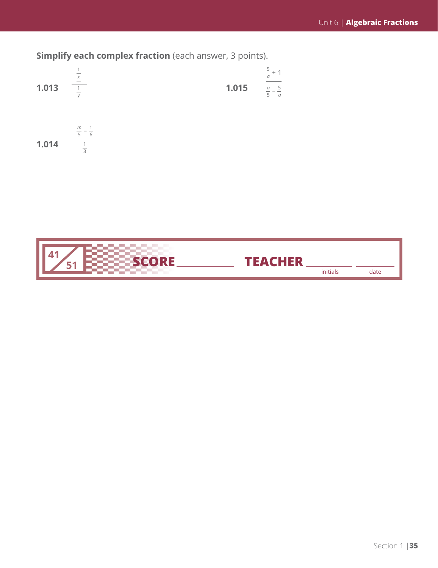**Simplify each complex fraction** (each answer, 3 points).



**1.014**  $\frac{m}{5} - \frac{1}{6}$ 1 3